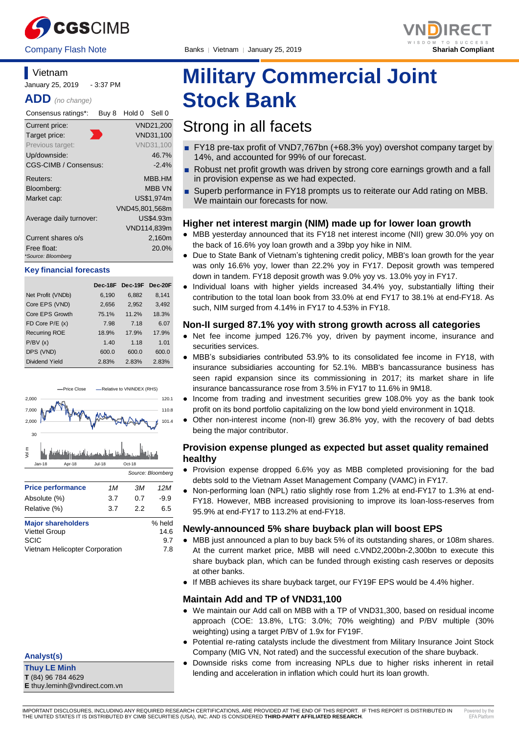



## **Vietnam**

January 25, 2019 - 3:37 PM

**ADD** *(no change)*

| Consensus ratings*:               | Buy 8 | Hold 0         | Sell 0           |
|-----------------------------------|-------|----------------|------------------|
| Current price:                    |       |                | VND21,200        |
| Target price:                     |       |                | VND31,100        |
| Previous target:                  |       |                | <b>VND31,100</b> |
| Up/downside:                      |       |                | 46.7%            |
| CGS-CIMB / Consensus:             |       |                | $-2.4\%$         |
| Reuters:                          |       |                | MBB.HM           |
| Bloomberg:                        |       |                | <b>MBB VN</b>    |
| Market cap:                       |       |                | US\$1.974m       |
|                                   |       | VND45,801,568m |                  |
| Average daily turnover:           |       |                | US\$4.93m        |
|                                   |       |                | VND114,839m      |
| Current shares o/s                |       |                | 2,160m           |
| Free float:<br>*Source: Bloomberg |       |                | 20.0%            |

#### **Key financial forecasts**

|                      | Dec-18F | Dec-19F Dec-20F |       |
|----------------------|---------|-----------------|-------|
| Net Profit (VNDb)    | 6,190   | 6,882           | 8,141 |
| Core EPS (VND)       | 2,656   | 2,952           | 3,492 |
| Core EPS Growth      | 75.1%   | 11.2%           | 18.3% |
| FD Core $P/E(x)$     | 7.98    | 7.18            | 6.07  |
| <b>Recurring ROE</b> | 18.9%   | 17.9%           | 17.9% |
| P/BV(x)              | 1.40    | 1.18            | 1.01  |
| DPS (VND)            | 600.0   | 600.0           | 600.0 |
| Dividend Yield       | 2.83%   | 2.83%           | 2.83% |



Vietnam Helicopter Corporation 7.8

## **Analyst(s)**

**Thuy LE Minh T** (84) 96 784 4629 **E** thuy.leminh@vndirect.com.vn

# **Military Commercial Joint Stock Bank**

## Strong in all facets

- FY18 pre-tax profit of VND7,767bn (+68.3% yoy) overshot company target by 14%, and accounted for 99% of our forecast.
- Robust net profit growth was driven by strong core earnings growth and a fall in provision expense as we had expected.
- Superb performance in FY18 prompts us to reiterate our Add rating on MBB. We maintain our forecasts for now.

#### **Higher net interest margin (NIM) made up for lower loan growth**

- MBB yesterday announced that its FY18 net interest income (NII) grew 30.0% yoy on the back of 16.6% yoy loan growth and a 39bp yoy hike in NIM.
- Due to State Bank of Vietnam's tightening credit policy, MBB's loan growth for the year was only 16.6% yoy, lower than 22.2% yoy in FY17. Deposit growth was tempered down in tandem. FY18 deposit growth was 9.0% yoy vs. 13.0% yoy in FY17.
- Individual loans with higher yields increased 34.4% yoy, substantially lifting their contribution to the total loan book from 33.0% at end FY17 to 38.1% at end-FY18. As such, NIM surged from 4.14% in FY17 to 4.53% in FY18.

#### **Non-II surged 87.1% yoy with strong growth across all categories**

- Net fee income jumped 126.7% yoy, driven by payment income, insurance and securities services.
- MBB's subsidiaries contributed 53.9% to its consolidated fee income in FY18, with insurance subsidiaries accounting for 52.1%. MBB's bancassurance business has seen rapid expansion since its commissioning in 2017; its market share in life insurance bancassurance rose from 3.5% in FY17 to 11.6% in 9M18.
- Income from trading and investment securities grew 108.0% yoy as the bank took profit on its bond portfolio capitalizing on the low bond yield environment in 1Q18.
- Other non-interest income (non-II) grew 36.8% yoy, with the recovery of bad debts being the major contributor.

#### **Provision expense plunged as expected but asset quality remained healthy**

- Provision expense dropped 6.6% yoy as MBB completed provisioning for the bad debts sold to the Vietnam Asset Management Company (VAMC) in FY17.
- Non-performing loan (NPL) ratio slightly rose from 1.2% at end-FY17 to 1.3% at end-FY18. However, MBB increased provisioning to improve its loan-loss-reserves from 95.9% at end-FY17 to 113.2% at end-FY18.

#### **Newly-announced 5% share buyback plan will boost EPS**

- MBB just announced a plan to buy back 5% of its outstanding shares, or 108m shares. At the current market price, MBB will need c.VND2,200bn-2,300bn to execute this share buyback plan, which can be funded through existing cash reserves or deposits at other banks.
- If MBB achieves its share buyback target, our FY19F EPS would be 4.4% higher.

#### **Maintain Add and TP of VND31,100**

- We maintain our Add call on MBB with a TP of VND31,300, based on residual income approach (COE: 13.8%, LTG: 3.0%; 70% weighting) and P/BV multiple (30% weighting) using a target P/BV of 1.9x for FY19F.
- Potential re-rating catalysts include the divestment from Military Insurance Joint Stock Company (MIG VN, Not rated) and the successful execution of the share buyback.
- Downside risks come from increasing NPLs due to higher risks inherent in retail lending and acceleration in inflation which could hurt its loan growth.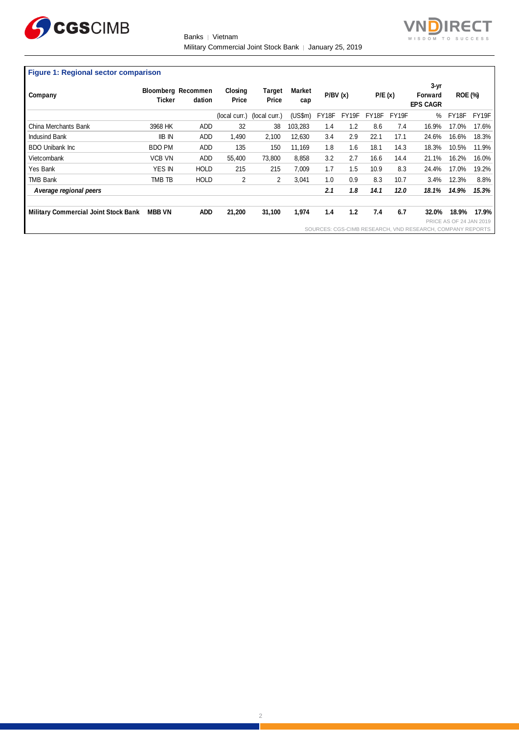

Banks | Vietnam Military Commercial Joint Stock Bank │ January 25, 2019



## **Figure 1: Regional sector comparison**

| Company                                     | Ticker        | <b>Bloomberg Recommen</b><br>dation | Closing<br>Price | Target<br>Price | <b>Market</b><br>cap | P/BV(x) |                    | P/E(x) |                    | $3-yr$<br>Forward<br><b>EPS CAGR</b>                      | <b>ROE (%)</b>          |       |
|---------------------------------------------|---------------|-------------------------------------|------------------|-----------------|----------------------|---------|--------------------|--------|--------------------|-----------------------------------------------------------|-------------------------|-------|
|                                             |               |                                     | (local curr.)    | (local curr.)   | (US\$m)              | FY18F   | FY <sub>19</sub> F | FY18F  | FY <sub>19</sub> F | %                                                         | FY18F                   | FY19F |
| China Merchants Bank                        | 3968 HK       | ADD                                 | 32               | 38              | 103,283              | 1.4     | 1.2                | 8.6    | 7.4                | 16.9%                                                     | 17.0%                   | 17.6% |
| <b>Indusind Bank</b>                        | <b>IIB IN</b> | ADD                                 | 1.490            | 2,100           | 12.630               | 3.4     | 2.9                | 22.1   | 17.1               | 24.6%                                                     | 16.6%                   | 18.3% |
| <b>BDO Unibank Inc.</b>                     | <b>BDO PM</b> | ADD                                 | 135              | 150             | 11,169               | 1.8     | 1.6                | 18.1   | 14.3               | 18.3%                                                     | 10.5%                   | 11.9% |
| Vietcombank                                 | <b>VCB VN</b> | ADD                                 | 55.400           | 73,800          | 8,858                | 3.2     | 2.7                | 16.6   | 14.4               | 21.1%                                                     | 16.2%                   | 16.0% |
| Yes Bank                                    | <b>YES IN</b> | <b>HOLD</b>                         | 215              | 215             | 7,009                | 1.7     | 1.5                | 10.9   | 8.3                | 24.4%                                                     | 17.0%                   | 19.2% |
| <b>TMB Bank</b>                             | TMB TB        | <b>HOLD</b>                         | 2                | 2               | 3.041                | 1.0     | 0.9                | 8.3    | 10.7               | 3.4%                                                      | 12.3%                   | 8.8%  |
| Average regional peers                      |               |                                     |                  |                 |                      | 2.1     | 1.8                | 14.1   | 12.0               | 18.1%                                                     | 14.9%                   | 15.3% |
| <b>Military Commercial Joint Stock Bank</b> | <b>MBB VN</b> | <b>ADD</b>                          | 21,200           | 31,100          | 1,974                | 1.4     | 1.2                | 7.4    | 6.7                | 32.0%                                                     | 18.9%                   | 17.9% |
|                                             |               |                                     |                  |                 |                      |         |                    |        |                    | SOURCES: CGS-CIMB RESEARCH, VND RESEARCH, COMPANY REPORTS | PRICE AS OF 24 JAN 2019 |       |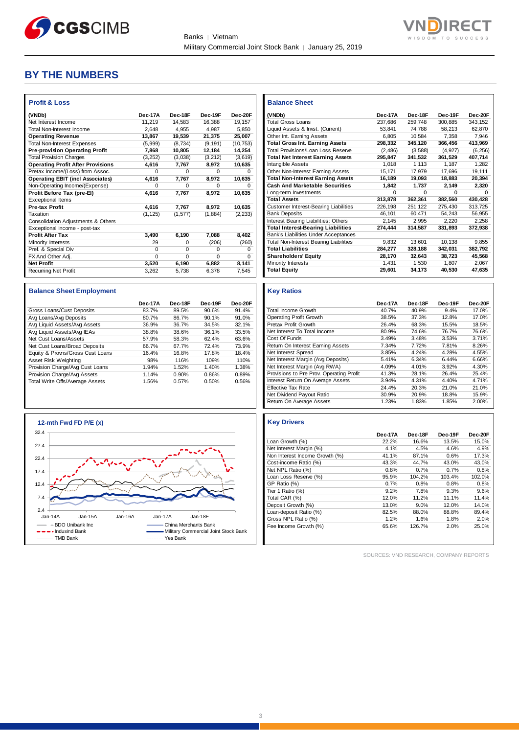



## **BY THE NUMBERS**

| <b>Profit &amp; Loss</b>                 |          |          |          |           |
|------------------------------------------|----------|----------|----------|-----------|
| (VNDb)                                   | Dec-17A  | Dec-18F  | Dec-19F  | Dec-20F   |
| Net Interest Income                      | 11.219   | 14.583   | 16.388   | 19.157    |
| <b>Total Non-Interest Income</b>         | 2.648    | 4.955    | 4.987    | 5.850     |
| <b>Operating Revenue</b>                 | 13,867   | 19,539   | 21,375   | 25,007    |
| <b>Total Non-Interest Expenses</b>       | (5,999)  | (8,734)  | (9, 191) | (10, 753) |
| <b>Pre-provision Operating Profit</b>    | 7,868    | 10,805   | 12,184   | 14,254    |
| <b>Total Provision Charges</b>           | (3,252)  | (3,038)  | (3, 212) | (3,619)   |
| <b>Operating Profit After Provisions</b> | 4,616    | 7,767    | 8.972    | 10,635    |
| Pretax Income/(Loss) from Assoc.         | $\Omega$ | $\Omega$ | $\Omega$ | $\Omega$  |
| <b>Operating EBIT (incl Associates)</b>  | 4.616    | 7,767    | 8.972    | 10,635    |
| Non-Operating Income/(Expense)           | $\Omega$ | $\Omega$ | $\Omega$ | O         |
| Profit Before Tax (pre-EI)               | 4.616    | 7.767    | 8.972    | 10,635    |
| <b>Exceptional Items</b>                 |          |          |          |           |
| <b>Pre-tax Profit</b>                    | 4.616    | 7.767    | 8.972    | 10,635    |
| Taxation                                 | (1, 125) | (1, 577) | (1,884)  | (2, 233)  |
| Consolidation Adjustments & Others       |          |          |          |           |
| Exceptional Income - post-tax            |          |          |          |           |
| <b>Profit After Tax</b>                  | 3.490    | 6,190    | 7.088    | 8.402     |
| Minority Interests                       | 29       | $\Omega$ | (206)    | (260)     |
| Pref. & Special Div                      | $\Omega$ | $\Omega$ | $\Omega$ | 0         |
| FX And Other Adj.                        | $\Omega$ | $\Omega$ | $\Omega$ | $\Omega$  |
| <b>Net Profit</b>                        | 3,520    | 6,190    | 6,882    | 8,141     |
| <b>Recurring Net Profit</b>              | 3.262    | 5.738    | 6,378    | 7.545     |

#### **Balance Sheet Employment**

|                                  | Dec-17A | Dec-18F | Dec-19F | Dec-20F |
|----------------------------------|---------|---------|---------|---------|
| Gross Loans/Cust Deposits        | 83.7%   | 89.5%   | 90.6%   | 91.4%   |
| Avg Loans/Avg Deposits           | 80.7%   | 86.7%   | 90.1%   | 91.0%   |
| Avg Liquid Assets/Avg Assets     | 36.9%   | 36.7%   | 34.5%   | 32.1%   |
| Avg Liquid Assets/Avg IEAs       | 38.8%   | 38.6%   | 36.1%   | 33.5%   |
| Net Cust Loans/Assets            | 57.9%   | 58.3%   | 62.4%   | 63.6%   |
| Net Cust Loans/Broad Deposits    | 66.7%   | 67.7%   | 72.4%   | 73.9%   |
| Equity & Provns/Gross Cust Loans | 16.4%   | 16.8%   | 17.8%   | 18.4%   |
| Asset Risk Weighting             | 98%     | 116%    | 109%    | 110%    |
| Provision Charge/Avg Cust Loans  | 1.94%   | 1.52%   | 1.40%   | 1.38%   |
| Provision Charge/Avg Assets      | 1.14%   | 0.90%   | 0.86%   | 0.89%   |
| Total Write Offs/Average Assets  | 1.56%   | 0.57%   | 0.50%   | 0.56%   |



| <b>Balance Sheet</b>                          |          |          |          |          |
|-----------------------------------------------|----------|----------|----------|----------|
| (VNDb)                                        | Dec-17A  | Dec-18F  | Dec-19F  | Dec-20F  |
| <b>Total Gross Loans</b>                      | 237.686  | 259,748  | 300,885  | 343,152  |
| Liquid Assets & Invst. (Current)              | 53.841   | 74.788   | 58.213   | 62.870   |
| Other Int. Earning Assets                     | 6.805    | 10,584   | 7,358    | 7,946    |
| <b>Total Gross Int. Earning Assets</b>        | 298,332  | 345,120  | 366,456  | 413,969  |
| <b>Total Provisions/Loan Loss Reserve</b>     | (2,486)  | (3,588)  | (4.927)  | (6, 256) |
| <b>Total Net Interest Earning Assets</b>      | 295,847  | 341,532  | 361,529  | 407,714  |
| Intangible Assets                             | 1.018    | 1.113    | 1.187    | 1.282    |
| Other Non-Interest Earning Assets             | 15,171   | 17,979   | 17,696   | 19,111   |
| <b>Total Non-Interest Earning Assets</b>      | 16,189   | 19,093   | 18,883   | 20,394   |
| <b>Cash And Marketable Securities</b>         | 1,842    | 1,737    | 2,149    | 2,320    |
| Long-term Investments                         | $\Omega$ | $\Omega$ | $\Omega$ | o        |
| <b>Total Assets</b>                           | 313,878  | 362,361  | 382,560  | 430,428  |
| <b>Customer Interest-Bearing Liabilities</b>  | 226,198  | 251,122  | 275,430  | 313,725  |
| <b>Bank Deposits</b>                          | 46,101   | 60,471   | 54,243   | 56,955   |
| Interest Bearing Liabilities: Others          | 2,145    | 2,995    | 2,220    | 2,258    |
| <b>Total Interest-Bearing Liabilities</b>     | 274,444  | 314,587  | 331,893  | 372,938  |
| <b>Bank's Liabilities Under Acceptances</b>   |          |          |          |          |
| <b>Total Non-Interest Bearing Liabilities</b> | 9.832    | 13,601   | 10.138   | 9.855    |
| <b>Total Liabilities</b>                      | 284,277  | 328,188  | 342,031  | 382,792  |
| <b>Shareholders' Equity</b>                   | 28.170   | 32.643   | 38.723   | 45,568   |
| Minority Interests                            | 1.431    | 1.530    | 1.807    | 2,067    |
| <b>Total Equity</b>                           | 29,601   | 34,173   | 40,530   | 47,635   |

#### **Key Ratios**

|                                          | Dec-17A | Dec-18F | Dec-19F | Dec-20F |
|------------------------------------------|---------|---------|---------|---------|
| <b>Total Income Growth</b>               | 40.7%   | 40.9%   | 9.4%    | 17.0%   |
| <b>Operating Profit Growth</b>           | 38.5%   | 37.3%   | 12.8%   | 17.0%   |
| Pretax Profit Growth                     | 26.4%   | 68.3%   | 15.5%   | 18.5%   |
| Net Interest To Total Income             | 80.9%   | 74.6%   | 76.7%   | 76.6%   |
| Cost Of Funds                            | 3.49%   | 3.48%   | 3.53%   | 3.71%   |
| Return On Interest Earning Assets        | 7.34%   | 7.72%   | 7.81%   | 8.26%   |
| Net Interest Spread                      | 3.85%   | 4.24%   | 4.28%   | 4.55%   |
| Net Interest Margin (Avg Deposits)       | 5.41%   | 6.34%   | 6.44%   | 6.66%   |
| Net Interest Margin (Avg RWA)            | 4.09%   | 4.01%   | 3.92%   | 4.30%   |
| Provisions to Pre Prov. Operating Profit | 41.3%   | 28.1%   | 26.4%   | 25.4%   |
| Interest Return On Average Assets        | 3.94%   | 4.31%   | 4.40%   | 4.71%   |
| <b>Effective Tax Rate</b>                | 24.4%   | 20.3%   | 21.0%   | 21.0%   |
| Net Dividend Payout Ratio                | 30.9%   | 20.9%   | 18.8%   | 15.9%   |
| Return On Average Assets                 | 1.23%   | 1.83%   | 1.85%   | 2.00%   |

#### **Key Drivers**

|                                | Dec-17A | Dec-18F | Dec-19F | Dec-20F |
|--------------------------------|---------|---------|---------|---------|
| Loan Growth (%)                | 22.2%   | 16.6%   | 13.5%   | 15.0%   |
| Net Interest Margin (%)        | 4.1%    | 4.5%    | 4.6%    | 4.9%    |
| Non Interest Income Growth (%) | 41.1%   | 87.1%   | 0.6%    | 17.3%   |
| Cost-income Ratio (%)          | 43.3%   | 44.7%   | 43.0%   | 43.0%   |
| Net NPL Ratio (%)              | 0.8%    | 0.7%    | 0.7%    | 0.8%    |
| Loan Loss Reserve (%)          | 95.9%   | 104.2%  | 103.4%  | 102.0%  |
| GP Ratio (%)                   | 0.7%    | 0.8%    | 0.8%    | 0.8%    |
| Tier 1 Ratio (%)               | 9.2%    | 7.8%    | 9.3%    | 9.6%    |
| Total CAR (%)                  | 12.0%   | 11.2%   | 11.1%   | 11.4%   |
| Deposit Growth (%)             | 13.0%   | 9.0%    | 12.0%   | 14.0%   |
| Loan-deposit Ratio (%)         | 82.5%   | 88.0%   | 88.8%   | 89.4%   |
| Gross NPL Ratio (%)            | 1.2%    | 1.6%    | 1.8%    | 2.0%    |
| Fee Income Growth (%)          | 65.6%   | 126.7%  | 2.0%    | 25.0%   |

SOURCES: VND RESEARCH, COMPANY REPORTS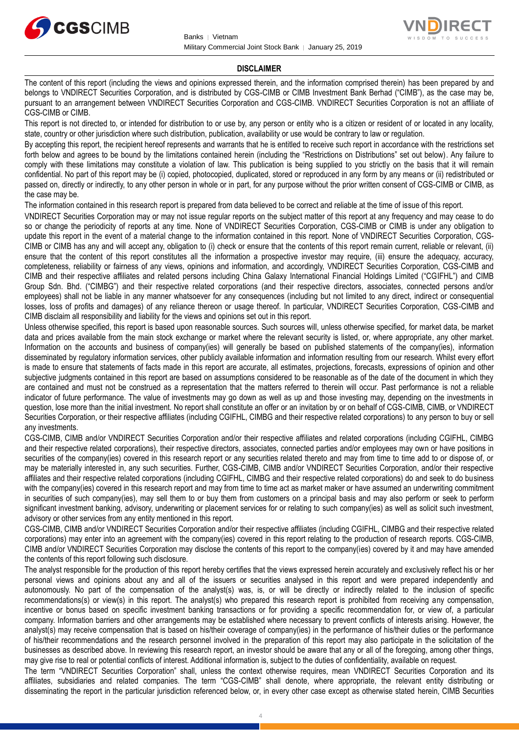



#### **DISCLAIMER**

The content of this report (including the views and opinions expressed therein, and the information comprised therein) has been prepared by and belongs to VNDIRECT Securities Corporation, and is distributed by CGS-CIMB or CIMB Investment Bank Berhad ("CIMB"), as the case may be, pursuant to an arrangement between VNDIRECT Securities Corporation and CGS-CIMB. VNDIRECT Securities Corporation is not an affiliate of CGS-CIMB or CIMB.

This report is not directed to, or intended for distribution to or use by, any person or entity who is a citizen or resident of or located in any locality, state, country or other jurisdiction where such distribution, publication, availability or use would be contrary to law or regulation.

By accepting this report, the recipient hereof represents and warrants that he is entitled to receive such report in accordance with the restrictions set forth below and agrees to be bound by the limitations contained herein (including the "Restrictions on Distributions" set out below). Any failure to comply with these limitations may constitute a violation of law. This publication is being supplied to you strictly on the basis that it will remain confidential. No part of this report may be (i) copied, photocopied, duplicated, stored or reproduced in any form by any means or (ii) redistributed or passed on, directly or indirectly, to any other person in whole or in part, for any purpose without the prior written consent of CGS-CIMB or CIMB, as the case may be.

The information contained in this research report is prepared from data believed to be correct and reliable at the time of issue of this report.

VNDIRECT Securities Corporation may or may not issue regular reports on the subject matter of this report at any frequency and may cease to do so or change the periodicity of reports at any time. None of VNDIRECT Securities Corporation, CGS-CIMB or CIMB is under any obligation to update this report in the event of a material change to the information contained in this report. None of VNDIRECT Securities Corporation, CGS-CIMB or CIMB has any and will accept any, obligation to (i) check or ensure that the contents of this report remain current, reliable or relevant, (ii) ensure that the content of this report constitutes all the information a prospective investor may require, (iii) ensure the adequacy, accuracy, completeness, reliability or fairness of any views, opinions and information, and accordingly, VNDIRECT Securities Corporation, CGS-CIMB and CIMB and their respective affiliates and related persons including China Galaxy International Financial Holdings Limited ("CGIFHL") and CIMB Group Sdn. Bhd. ("CIMBG") and their respective related corporations (and their respective directors, associates, connected persons and/or employees) shall not be liable in any manner whatsoever for any consequences (including but not limited to any direct, indirect or consequential losses, loss of profits and damages) of any reliance thereon or usage thereof. In particular, VNDIRECT Securities Corporation, CGS-CIMB and CIMB disclaim all responsibility and liability for the views and opinions set out in this report.

Unless otherwise specified, this report is based upon reasonable sources. Such sources will, unless otherwise specified, for market data, be market data and prices available from the main stock exchange or market where the relevant security is listed, or, where appropriate, any other market. Information on the accounts and business of company(ies) will generally be based on published statements of the company(ies), information disseminated by regulatory information services, other publicly available information and information resulting from our research. Whilst every effort is made to ensure that statements of facts made in this report are accurate, all estimates, projections, forecasts, expressions of opinion and other subjective judgments contained in this report are based on assumptions considered to be reasonable as of the date of the document in which they are contained and must not be construed as a representation that the matters referred to therein will occur. Past performance is not a reliable indicator of future performance. The value of investments may go down as well as up and those investing may, depending on the investments in question, lose more than the initial investment. No report shall constitute an offer or an invitation by or on behalf of CGS-CIMB, CIMB, or VNDIRECT Securities Corporation, or their respective affiliates (including CGIFHL, CIMBG and their respective related corporations) to any person to buy or sell any investments.

CGS-CIMB, CIMB and/or VNDIRECT Securities Corporation and/or their respective affiliates and related corporations (including CGIFHL, CIMBG and their respective related corporations), their respective directors, associates, connected parties and/or employees may own or have positions in securities of the company(ies) covered in this research report or any securities related thereto and may from time to time add to or dispose of, or may be materially interested in, any such securities. Further, CGS-CIMB, CIMB and/or VNDIRECT Securities Corporation, and/or their respective affiliates and their respective related corporations (including CGIFHL, CIMBG and their respective related corporations) do and seek to do business with the company(ies) covered in this research report and may from time to time act as market maker or have assumed an underwriting commitment in securities of such company(ies), may sell them to or buy them from customers on a principal basis and may also perform or seek to perform significant investment banking, advisory, underwriting or placement services for or relating to such company(ies) as well as solicit such investment, advisory or other services from any entity mentioned in this report.

CGS-CIMB, CIMB and/or VNDIRECT Securities Corporation and/or their respective affiliates (including CGIFHL, CIMBG and their respective related corporations) may enter into an agreement with the company(ies) covered in this report relating to the production of research reports. CGS-CIMB, CIMB and/or VNDIRECT Securities Corporation may disclose the contents of this report to the company(ies) covered by it and may have amended the contents of this report following such disclosure.

The analyst responsible for the production of this report hereby certifies that the views expressed herein accurately and exclusively reflect his or her personal views and opinions about any and all of the issuers or securities analysed in this report and were prepared independently and autonomously. No part of the compensation of the analyst(s) was, is, or will be directly or indirectly related to the inclusion of specific recommendations(s) or view(s) in this report. The analyst(s) who prepared this research report is prohibited from receiving any compensation, incentive or bonus based on specific investment banking transactions or for providing a specific recommendation for, or view of, a particular company. Information barriers and other arrangements may be established where necessary to prevent conflicts of interests arising. However, the analyst(s) may receive compensation that is based on his/their coverage of company(ies) in the performance of his/their duties or the performance of his/their recommendations and the research personnel involved in the preparation of this report may also participate in the solicitation of the businesses as described above. In reviewing this research report, an investor should be aware that any or all of the foregoing, among other things, may give rise to real or potential conflicts of interest. Additional information is, subject to the duties of confidentiality, available on request.

The term "VNDIRECT Securities Corporation" shall, unless the context otherwise requires, mean VNDIRECT Securities Corporation and its affiliates, subsidiaries and related companies. The term "CGS-CIMB" shall denote, where appropriate, the relevant entity distributing or disseminating the report in the particular jurisdiction referenced below, or, in every other case except as otherwise stated herein, CIMB Securities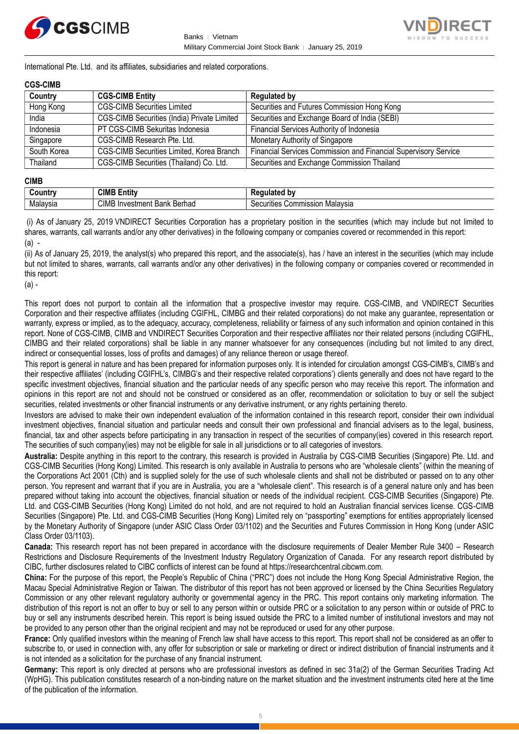



International Pte. Ltd. and its affiliates, subsidiaries and related corporations.

#### **CGS-CIMB**

| Country     | <b>CGS-CIMB Entity</b>                             | <b>Regulated by</b>                                             |
|-------------|----------------------------------------------------|-----------------------------------------------------------------|
| Hong Kong   | <b>CGS-CIMB Securities Limited</b>                 | Securities and Futures Commission Hong Kong                     |
| India       | <b>CGS-CIMB Securities (India) Private Limited</b> | Securities and Exchange Board of India (SEBI)                   |
| Indonesia   | PT CGS-CIMB Sekuritas Indonesia                    | Financial Services Authority of Indonesia                       |
| Singapore   | CGS-CIMB Research Pte. Ltd.                        | Monetary Authority of Singapore                                 |
| South Korea | CGS-CIMB Securities Limited, Korea Branch          | Financial Services Commission and Financial Supervisory Service |
| Thailand    | CGS-CIMB Securities (Thailand) Co. Ltd.            | Securities and Exchange Commission Thailand                     |

#### **CIMB**

| ountrٽ                   | CIMB<br><b>ALL</b><br>- - -<br>Entitv             | اممغملت<br>' hv<br>$-$                   |
|--------------------------|---------------------------------------------------|------------------------------------------|
| alavsia<br><b>IVIdid</b> | CIMI<br>. .<br>Berhad<br>Bank<br>nvestm<br>.ient. | ion Malavsia<br>'ecurities<br>Commission |

(i) As of January 25, 2019 VNDIRECT Securities Corporation has a proprietary position in the securities (which may include but not limited to shares, warrants, call warrants and/or any other derivatives) in the following company or companies covered or recommended in this report: (a) -

(ii) As of January 25, 2019, the analyst(s) who prepared this report, and the associate(s), has / have an interest in the securities (which may include but not limited to shares, warrants, call warrants and/or any other derivatives) in the following company or companies covered or recommended in this report:

(a) -

This report does not purport to contain all the information that a prospective investor may require. CGS-CIMB, and VNDIRECT Securities Corporation and their respective affiliates (including CGIFHL, CIMBG and their related corporations) do not make any guarantee, representation or warranty, express or implied, as to the adequacy, accuracy, completeness, reliability or fairness of any such information and opinion contained in this report. None of CGS-CIMB, CIMB and VNDIRECT Securities Corporation and their respective affiliates nor their related persons (including CGIFHL, CIMBG and their related corporations) shall be liable in any manner whatsoever for any consequences (including but not limited to any direct, indirect or consequential losses, loss of profits and damages) of any reliance thereon or usage thereof.

This report is general in nature and has been prepared for information purposes only. It is intended for circulation amongst CGS-CIMB's, CIMB's and their respective affiliates' (including CGIFHL's, CIMBG's and their respective related corporations') clients generally and does not have regard to the specific investment objectives, financial situation and the particular needs of any specific person who may receive this report. The information and opinions in this report are not and should not be construed or considered as an offer, recommendation or solicitation to buy or sell the subject securities, related investments or other financial instruments or any derivative instrument, or any rights pertaining thereto.

Investors are advised to make their own independent evaluation of the information contained in this research report, consider their own individual investment objectives, financial situation and particular needs and consult their own professional and financial advisers as to the legal, business, financial, tax and other aspects before participating in any transaction in respect of the securities of company(ies) covered in this research report. The securities of such company(ies) may not be eligible for sale in all jurisdictions or to all categories of investors.

**Australia:** Despite anything in this report to the contrary, this research is provided in Australia by CGS-CIMB Securities (Singapore) Pte. Ltd. and CGS-CIMB Securities (Hong Kong) Limited. This research is only available in Australia to persons who are "wholesale clients" (within the meaning of the Corporations Act 2001 (Cth) and is supplied solely for the use of such wholesale clients and shall not be distributed or passed on to any other person. You represent and warrant that if you are in Australia, you are a "wholesale client". This research is of a general nature only and has been prepared without taking into account the objectives, financial situation or needs of the individual recipient. CGS-CIMB Securities (Singapore) Pte. Ltd. and CGS-CIMB Securities (Hong Kong) Limited do not hold, and are not required to hold an Australian financial services license. CGS-CIMB Securities (Singapore) Pte. Ltd. and CGS-CIMB Securities (Hong Kong) Limited rely on "passporting" exemptions for entities appropriately licensed by the Monetary Authority of Singapore (under ASIC Class Order 03/1102) and the Securities and Futures Commission in Hong Kong (under ASIC Class Order 03/1103).

**Canada:** This research report has not been prepared in accordance with the disclosure requirements of Dealer Member Rule 3400 – Research Restrictions and Disclosure Requirements of the Investment Industry Regulatory Organization of Canada. For any research report distributed by CIBC, further disclosures related to CIBC conflicts of interest can be found at https://researchcentral.cibcwm.com.

**China:** For the purpose of this report, the People's Republic of China ("PRC") does not include the Hong Kong Special Administrative Region, the Macau Special Administrative Region or Taiwan. The distributor of this report has not been approved or licensed by the China Securities Regulatory Commission or any other relevant regulatory authority or governmental agency in the PRC. This report contains only marketing information. The distribution of this report is not an offer to buy or sell to any person within or outside PRC or a solicitation to any person within or outside of PRC to buy or sell any instruments described herein. This report is being issued outside the PRC to a limited number of institutional investors and may not be provided to any person other than the original recipient and may not be reproduced or used for any other purpose.

**France:** Only qualified investors within the meaning of French law shall have access to this report. This report shall not be considered as an offer to subscribe to, or used in connection with, any offer for subscription or sale or marketing or direct or indirect distribution of financial instruments and it is not intended as a solicitation for the purchase of any financial instrument.

**Germany:** This report is only directed at persons who are professional investors as defined in sec 31a(2) of the German Securities Trading Act (WpHG). This publication constitutes research of a non-binding nature on the market situation and the investment instruments cited here at the time of the publication of the information.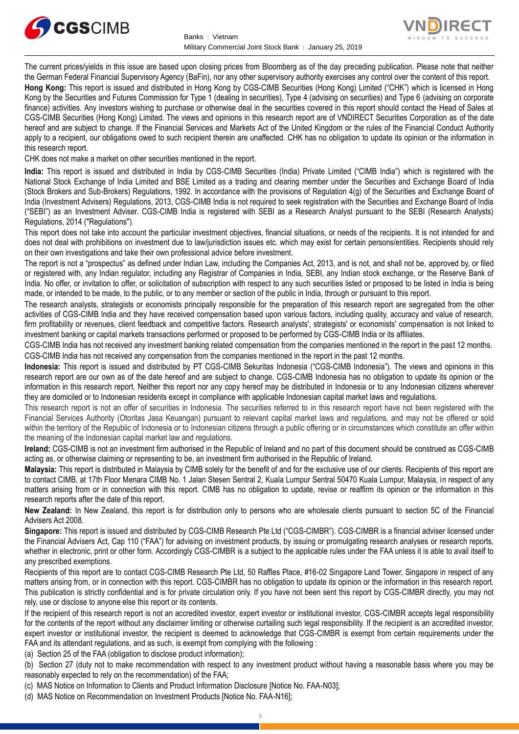



The current prices/yields in this issue are based upon closing prices from Bloomberg as of the day preceding publication. Please note that neither the German Federal Financial Supervisory Agency (BaFin), nor any other supervisory authority exercises any control over the content of this report.

**Hong Kong:** This report is issued and distributed in Hong Kong by CGS-CIMB Securities (Hong Kong) Limited ("CHK") which is licensed in Hong Kong by the Securities and Futures Commission for Type 1 (dealing in securities), Type 4 (advising on securities) and Type 6 (advising on corporate finance) activities. Any investors wishing to purchase or otherwise deal in the securities covered in this report should contact the Head of Sales at CGS-CIMB Securities (Hong Kong) Limited. The views and opinions in this research report are of VNDIRECT Securities Corporation as of the date hereof and are subject to change. If the Financial Services and Markets Act of the United Kingdom or the rules of the Financial Conduct Authority apply to a recipient, our obligations owed to such recipient therein are unaffected. CHK has no obligation to update its opinion or the information in this research report.

CHK does not make a market on other securities mentioned in the report.

**India:** This report is issued and distributed in India by CGS-CIMB Securities (India) Private Limited ("CIMB India") which is registered with the National Stock Exchange of India Limited and BSE Limited as a trading and clearing member under the Securities and Exchange Board of India (Stock Brokers and Sub-Brokers) Regulations, 1992. In accordance with the provisions of Regulation 4(g) of the Securities and Exchange Board of India (Investment Advisers) Regulations, 2013, CGS-CIMB India is not required to seek registration with the Securities and Exchange Board of India ("SEBI") as an Investment Adviser. CGS-CIMB India is registered with SEBI as a Research Analyst pursuant to the SEBI (Research Analysts) Regulations, 2014 ("Regulations").

This report does not take into account the particular investment objectives, financial situations, or needs of the recipients. It is not intended for and does not deal with prohibitions on investment due to law/jurisdiction issues etc. which may exist for certain persons/entities. Recipients should rely on their own investigations and take their own professional advice before investment.

The report is not a "prospectus" as defined under Indian Law, including the Companies Act, 2013, and is not, and shall not be, approved by, or filed or registered with, any Indian regulator, including any Registrar of Companies in India, SEBI, any Indian stock exchange, or the Reserve Bank of India. No offer, or invitation to offer, or solicitation of subscription with respect to any such securities listed or proposed to be listed in India is being made, or intended to be made, to the public, or to any member or section of the public in India, through or pursuant to this report.

The research analysts, strategists or economists principally responsible for the preparation of this research report are segregated from the other activities of CGS-CIMB India and they have received compensation based upon various factors, including quality, accuracy and value of research, firm profitability or revenues, client feedback and competitive factors. Research analysts', strategists' or economists' compensation is not linked to investment banking or capital markets transactions performed or proposed to be performed by CGS-CIMB India or its affiliates.

CGS-CIMB India has not received any investment banking related compensation from the companies mentioned in the report in the past 12 months. CGS-CIMB India has not received any compensation from the companies mentioned in the report in the past 12 months.

**Indonesia:** This report is issued and distributed by PT CGS-CIMB Sekuritas Indonesia ("CGS-CIMB Indonesia"). The views and opinions in this research report are our own as of the date hereof and are subject to change. CGS-CIMB Indonesia has no obligation to update its opinion or the information in this research report. Neither this report nor any copy hereof may be distributed in Indonesia or to any Indonesian citizens wherever they are domiciled or to Indonesian residents except in compliance with applicable Indonesian capital market laws and regulations.

This research report is not an offer of securities in Indonesia. The securities referred to in this research report have not been registered with the Financial Services Authority (Otoritas Jasa Keuangan) pursuant to relevant capital market laws and regulations, and may not be offered or sold within the territory of the Republic of Indonesia or to Indonesian citizens through a public offering or in circumstances which constitute an offer within the meaning of the Indonesian capital market law and regulations.

**Ireland:** CGS-CIMB is not an investment firm authorised in the Republic of Ireland and no part of this document should be construed as CGS-CIMB acting as, or otherwise claiming or representing to be, an investment firm authorised in the Republic of Ireland.

**Malaysia:** This report is distributed in Malaysia by CIMB solely for the benefit of and for the exclusive use of our clients. Recipients of this report are to contact CIMB, at 17th Floor Menara CIMB No. 1 Jalan Stesen Sentral 2, Kuala Lumpur Sentral 50470 Kuala Lumpur, Malaysia, in respect of any matters arising from or in connection with this report. CIMB has no obligation to update, revise or reaffirm its opinion or the information in this research reports after the date of this report.

**New Zealand:** In New Zealand, this report is for distribution only to persons who are wholesale clients pursuant to section 5C of the Financial Advisers Act 2008.

**Singapore:** This report is issued and distributed by CGS-CIMB Research Pte Ltd ("CGS-CIMBR"). CGS-CIMBR is a financial adviser licensed under the Financial Advisers Act, Cap 110 ("FAA") for advising on investment products, by issuing or promulgating research analyses or research reports, whether in electronic, print or other form. Accordingly CGS-CIMBR is a subject to the applicable rules under the FAA unless it is able to avail itself to any prescribed exemptions.

Recipients of this report are to contact CGS-CIMB Research Pte Ltd, 50 Raffles Place, #16-02 Singapore Land Tower, Singapore in respect of any matters arising from, or in connection with this report. CGS-CIMBR has no obligation to update its opinion or the information in this research report. This publication is strictly confidential and is for private circulation only. If you have not been sent this report by CGS-CIMBR directly, you may not rely, use or disclose to anyone else this report or its contents.

If the recipient of this research report is not an accredited investor, expert investor or institutional investor, CGS-CIMBR accepts legal responsibility for the contents of the report without any disclaimer limiting or otherwise curtailing such legal responsibility. If the recipient is an accredited investor, expert investor or institutional investor, the recipient is deemed to acknowledge that CGS-CIMBR is exempt from certain requirements under the FAA and its attendant regulations, and as such, is exempt from complying with the following :

(a) Section 25 of the FAA (obligation to disclose product information);

(b) Section 27 (duty not to make recommendation with respect to any investment product without having a reasonable basis where you may be reasonably expected to rely on the recommendation) of the FAA;

(c) MAS Notice on Information to Clients and Product Information Disclosure [Notice No. FAA-N03];

(d) MAS Notice on Recommendation on Investment Products [Notice No. FAA-N16];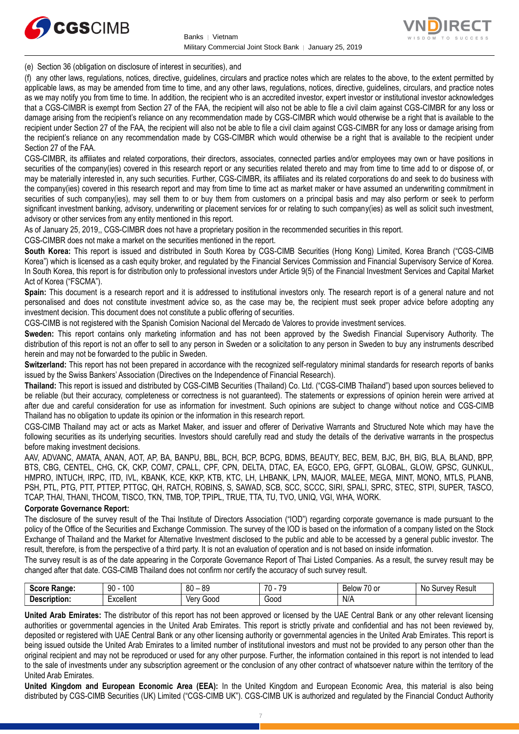



(e) Section 36 (obligation on disclosure of interest in securities), and

(f) any other laws, regulations, notices, directive, guidelines, circulars and practice notes which are relates to the above, to the extent permitted by applicable laws, as may be amended from time to time, and any other laws, regulations, notices, directive, guidelines, circulars, and practice notes as we may notify you from time to time. In addition, the recipient who is an accredited investor, expert investor or institutional investor acknowledges that a CGS-CIMBR is exempt from Section 27 of the FAA, the recipient will also not be able to file a civil claim against CGS-CIMBR for any loss or damage arising from the recipient's reliance on any recommendation made by CGS-CIMBR which would otherwise be a right that is available to the recipient under Section 27 of the FAA, the recipient will also not be able to file a civil claim against CGS-CIMBR for any loss or damage arising from the recipient's reliance on any recommendation made by CGS-CIMBR which would otherwise be a right that is available to the recipient under Section 27 of the FAA.

CGS-CIMBR, its affiliates and related corporations, their directors, associates, connected parties and/or employees may own or have positions in securities of the company(ies) covered in this research report or any securities related thereto and may from time to time add to or dispose of, or may be materially interested in, any such securities. Further, CGS-CIMBR, its affiliates and its related corporations do and seek to do business with the company(ies) covered in this research report and may from time to time act as market maker or have assumed an underwriting commitment in securities of such company(ies), may sell them to or buy them from customers on a principal basis and may also perform or seek to perform significant investment banking, advisory, underwriting or placement services for or relating to such company(ies) as well as solicit such investment, advisory or other services from any entity mentioned in this report.

As of January 25, 2019,, CGS-CIMBR does not have a proprietary position in the recommended securities in this report.

CGS-CIMBR does not make a market on the securities mentioned in the report.

**South Korea:** This report is issued and distributed in South Korea by CGS-CIMB Securities (Hong Kong) Limited, Korea Branch ("CGS-CIMB Korea") which is licensed as a cash equity broker, and regulated by the Financial Services Commission and Financial Supervisory Service of Korea. In South Korea, this report is for distribution only to professional investors under Article 9(5) of the Financial Investment Services and Capital Market Act of Korea ("FSCMA").

**Spain:** This document is a research report and it is addressed to institutional investors only. The research report is of a general nature and not personalised and does not constitute investment advice so, as the case may be, the recipient must seek proper advice before adopting any investment decision. This document does not constitute a public offering of securities.

CGS-CIMB is not registered with the Spanish Comision Nacional del Mercado de Valores to provide investment services.

**Sweden:** This report contains only marketing information and has not been approved by the Swedish Financial Supervisory Authority. The distribution of this report is not an offer to sell to any person in Sweden or a solicitation to any person in Sweden to buy any instruments described herein and may not be forwarded to the public in Sweden.

**Switzerland:** This report has not been prepared in accordance with the recognized self-regulatory minimal standards for research reports of banks issued by the Swiss Bankers' Association (Directives on the Independence of Financial Research).

**Thailand:** This report is issued and distributed by CGS-CIMB Securities (Thailand) Co. Ltd. ("CGS-CIMB Thailand") based upon sources believed to be reliable (but their accuracy, completeness or correctness is not guaranteed). The statements or expressions of opinion herein were arrived at after due and careful consideration for use as information for investment. Such opinions are subject to change without notice and CGS-CIMB Thailand has no obligation to update its opinion or the information in this research report.

CGS-CIMB Thailand may act or acts as Market Maker, and issuer and offerer of Derivative Warrants and Structured Note which may have the following securities as its underlying securities. Investors should carefully read and study the details of the derivative warrants in the prospectus before making investment decisions.

AAV, ADVANC, AMATA, ANAN, AOT, AP, BA, BANPU, BBL, BCH, BCP, BCPG, BDMS, BEAUTY, BEC, BEM, BJC, BH, BIG, BLA, BLAND, BPP, BTS, CBG, CENTEL, CHG, CK, CKP, COM7, CPALL, CPF, CPN, DELTA, DTAC, EA, EGCO, EPG, GFPT, GLOBAL, GLOW, GPSC, GUNKUL, HMPRO, INTUCH, IRPC, ITD, IVL, KBANK, KCE, KKP, KTB, KTC, LH, LHBANK, LPN, MAJOR, MALEE, MEGA, MINT, MONO, MTLS, PLANB, PSH, PTL, PTG, PTT, PTTEP, PTTGC, QH, RATCH, ROBINS, S, SAWAD, SCB, SCC, SCCC, SIRI, SPALI, SPRC, STEC, STPI, SUPER, TASCO, TCAP, THAI, THANI, THCOM, TISCO, TKN, TMB, TOP, TPIPL, TRUE, TTA, TU, TVO, UNIQ, VGI, WHA, WORK.

#### **Corporate Governance Report:**

The disclosure of the survey result of the Thai Institute of Directors Association ("IOD") regarding corporate governance is made pursuant to the policy of the Office of the Securities and Exchange Commission. The survey of the IOD is based on the information of a company listed on the Stock Exchange of Thailand and the Market for Alternative Investment disclosed to the public and able to be accessed by a general public investor. The result, therefore, is from the perspective of a third party. It is not an evaluation of operation and is not based on inside information.

The survey result is as of the date appearing in the Corporate Governance Report of Thai Listed Companies. As a result, the survey result may be changed after that date. CGS-CIMB Thailand does not confirm nor certify the accuracy of such survey result.

| <b>Score</b><br>Range: | 100<br>90                                                                 | 80<br>or<br>రన<br>$\overline{\phantom{0}}$ | 70<br>$\overline{\phantom{a}}$<br>. . | $\overline{\phantom{a}}$<br>Below<br>/U or | N0<br>Result<br>Survey |
|------------------------|---------------------------------------------------------------------------|--------------------------------------------|---------------------------------------|--------------------------------------------|------------------------|
| Description:           | $\overline{\phantom{0}}$<br>$L$ voollon <sup>+</sup><br><b>EXCEILEITE</b> | Ven<br>Good                                | Good                                  | N/A                                        |                        |

**United Arab Emirates:** The distributor of this report has not been approved or licensed by the UAE Central Bank or any other relevant licensing authorities or governmental agencies in the United Arab Emirates. This report is strictly private and confidential and has not been reviewed by, deposited or registered with UAE Central Bank or any other licensing authority or governmental agencies in the United Arab Emirates. This report is being issued outside the United Arab Emirates to a limited number of institutional investors and must not be provided to any person other than the original recipient and may not be reproduced or used for any other purpose. Further, the information contained in this report is not intended to lead to the sale of investments under any subscription agreement or the conclusion of any other contract of whatsoever nature within the territory of the United Arab Emirates.

**United Kingdom and European Economic Area (EEA):** In the United Kingdom and European Economic Area, this material is also being distributed by CGS-CIMB Securities (UK) Limited ("CGS-CIMB UK"). CGS-CIMB UK is authorized and regulated by the Financial Conduct Authority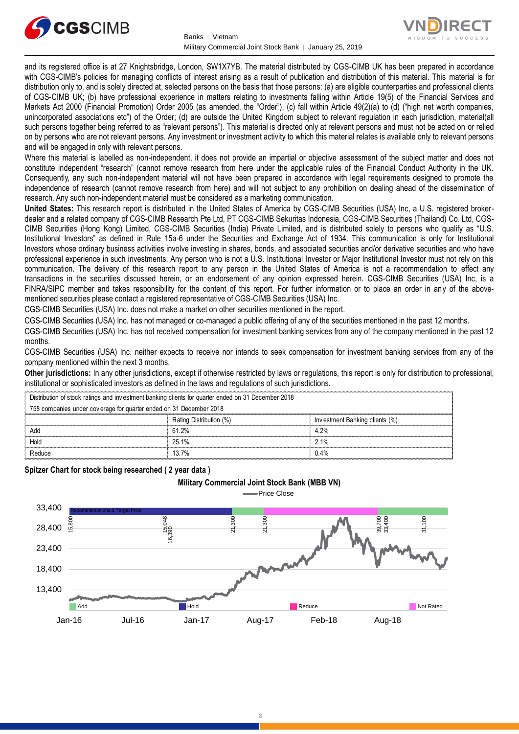



and its registered office is at 27 Knightsbridge, London, SW1X7YB. The material distributed by CGS-CIMB UK has been prepared in accordance with CGS-CIMB's policies for managing conflicts of interest arising as a result of publication and distribution of this material. This material is for distribution only to, and is solely directed at, selected persons on the basis that those persons: (a) are eligible counterparties and professional clients of CGS-CIMB UK; (b) have professional experience in matters relating to investments falling within Article 19(5) of the Financial Services and Markets Act 2000 (Financial Promotion) Order 2005 (as amended, the "Order"), (c) fall within Article 49(2)(a) to (d) ("high net worth companies, unincorporated associations etc") of the Order; (d) are outside the United Kingdom subject to relevant regulation in each jurisdiction, material(all such persons together being referred to as "relevant persons"). This material is directed only at relevant persons and must not be acted on or relied on by persons who are not relevant persons. Any investment or investment activity to which this material relates is available only to relevant persons and will be engaged in only with relevant persons.

Where this material is labelled as non-independent, it does not provide an impartial or objective assessment of the subject matter and does not constitute independent "research" (cannot remove research from here under the applicable rules of the Financial Conduct Authority in the UK. Consequently, any such non-independent material will not have been prepared in accordance with legal requirements designed to promote the independence of research (cannot remove research from here) and will not subject to any prohibition on dealing ahead of the dissemination of research. Any such non-independent material must be considered as a marketing communication.

**United States:** This research report is distributed in the United States of America by CGS-CIMB Securities (USA) Inc, a U.S. registered brokerdealer and a related company of CGS-CIMB Research Pte Ltd, PT CGS-CIMB Sekuritas Indonesia, CGS-CIMB Securities (Thailand) Co. Ltd, CGS-CIMB Securities (Hong Kong) Limited, CGS-CIMB Securities (India) Private Limited, and is distributed solely to persons who qualify as "U.S. Institutional Investors" as defined in Rule 15a-6 under the Securities and Exchange Act of 1934. This communication is only for Institutional Investors whose ordinary business activities involve investing in shares, bonds, and associated securities and/or derivative securities and who have professional experience in such investments. Any person who is not a U.S. Institutional Investor or Major Institutional Investor must not rely on this communication. The delivery of this research report to any person in the United States of America is not a recommendation to effect any transactions in the securities discussed herein, or an endorsement of any opinion expressed herein. CGS-CIMB Securities (USA) Inc, is a FINRA/SIPC member and takes responsibility for the content of this report. For further information or to place an order in any of the abovementioned securities please contact a registered representative of CGS-CIMB Securities (USA) Inc.

CGS-CIMB Securities (USA) Inc. does not make a market on other securities mentioned in the report.

CGS-CIMB Securities (USA) Inc. has not managed or co-managed a public offering of any of the securities mentioned in the past 12 months.

CGS-CIMB Securities (USA) Inc. has not received compensation for investment banking services from any of the company mentioned in the past 12 months.

CGS-CIMB Securities (USA) Inc. neither expects to receive nor intends to seek compensation for investment banking services from any of the company mentioned within the next 3 months.

**Other jurisdictions:** In any other jurisdictions, except if otherwise restricted by laws or regulations, this report is only for distribution to professional, institutional or sophisticated investors as defined in the laws and regulations of such jurisdictions. being the purisdictions: In any other jurisdictions, except if otherwise restricted by laws<br>stitutional or sophisticated investors as defined in the laws and regulations of such j<br>Distribution of stock ratings and investme

| <b>Other jurisdictions:</b> In any other jurisdictions, except if otherwise restricted by laws or regulations, this report is only for distribution to<br>institutional or sophisticated investors as defined in the laws and regulations of such jurisdictions. |                                |  |  |  |  |
|------------------------------------------------------------------------------------------------------------------------------------------------------------------------------------------------------------------------------------------------------------------|--------------------------------|--|--|--|--|
| Distribution of stock ratings and investment banking clients for quarter ended on 31 December 2018                                                                                                                                                               |                                |  |  |  |  |
| 758 companies under coverage for quarter ended on 31 December 2018                                                                                                                                                                                               |                                |  |  |  |  |
| Rating Distribution (%)                                                                                                                                                                                                                                          | Investment Banking clients (%) |  |  |  |  |
| 61.2%                                                                                                                                                                                                                                                            | 4.2%                           |  |  |  |  |
| 25.1%                                                                                                                                                                                                                                                            | 2.1%                           |  |  |  |  |
| 13.7%                                                                                                                                                                                                                                                            | 0.4%                           |  |  |  |  |
|                                                                                                                                                                                                                                                                  |                                |  |  |  |  |

**Spitzer Chart for stock being researched ( 2 year data )** 

#### **Military Commercial Joint Stock Bank (MBB VN)**

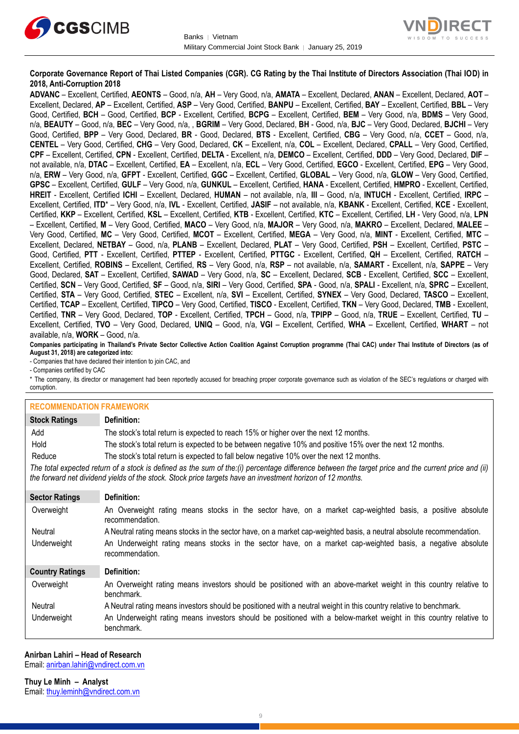



#### **Corporate Governance Report of Thai Listed Companies (CGR). CG Rating by the Thai Institute of Directors Association (Thai IOD) in 2018, Anti-Corruption 2018**

**ADVANC** – Excellent, Certified, **AEONTS** – Good, n/a, **AH** – Very Good, n/a, **AMATA** – Excellent, Declared, **ANAN** – Excellent, Declared, **AOT** – Excellent, Declared, **AP** – Excellent, Certified, **ASP** – Very Good, Certified, **BANPU** – Excellent, Certified, **BAY** – Excellent, Certified, **BBL** – Very Good, Certified, **BCH** – Good, Certified, **BCP** - Excellent, Certified, **BCPG** – Excellent, Certified, **BEM** – Very Good, n/a, **BDMS** – Very Good, n/a, **BEAUTY** – Good, n/a, **BEC** – Very Good, n/a, , **BGRIM** – Very Good, Declared, **BH** - Good, n/a, **BJC** – Very Good, Declared, **BJCHI** – Very Good, Certified, **BPP** – Very Good, Declared, **BR** - Good, Declared, **BTS** - Excellent, Certified, **CBG** – Very Good, n/a, **CCET** – Good, n/a, **CENTEL** – Very Good, Certified, **CHG** – Very Good, Declared, **CK** – Excellent, n/a, **COL** – Excellent, Declared, **CPALL** – Very Good, Certified, **CPF** – Excellent, Certified, **CPN** - Excellent, Certified, **DELTA** - Excellent, n/a, **DEMCO** – Excellent, Certified, **DDD** – Very Good, Declared, **DIF** – not available, n/a, **DTAC** – Excellent, Certified, **EA** – Excellent, n/a, **ECL** – Very Good, Certified, **EGCO** - Excellent, Certified, **EPG** – Very Good, n/a, **ERW** – Very Good, n/a, **GFPT** - Excellent, Certified, **GGC** – Excellent, Certified, **GLOBAL** – Very Good, n/a, **GLOW** – Very Good, Certified, **GPSC** – Excellent, Certified, **GULF** – Very Good, n/a, **GUNKUL** – Excellent, Certified, **HANA** - Excellent, Certified, **HMPRO** - Excellent, Certified, **HREIT** - Excellent, Certified **ICHI** – Excellent, Declared, **HUMAN** – not available, n/a, **III** – Good, n/a, **INTUCH** - Excellent, Certified, **IRPC** – Excellent, Certified, **ITD**\* – Very Good, n/a, **IVL** - Excellent, Certified, **JASIF** – not available, n/a, **KBANK** - Excellent, Certified, **KCE** - Excellent, Certified, **KKP** – Excellent, Certified, **KSL** – Excellent, Certified, **KTB** - Excellent, Certified, **KTC** – Excellent, Certified, **LH** - Very Good, n/a, **LPN** – Excellent, Certified, **M** – Very Good, Certified, **MACO** – Very Good, n/a, **MAJOR** – Very Good, n/a, **MAKRO** – Excellent, Declared, **MALEE** – Very Good, Certified, **MC** – Very Good, Certified, **MCOT** – Excellent, Certified, **MEGA** – Very Good, n/a, **MINT** - Excellent, Certified, **MTC** – Excellent, Declared, **NETBAY** – Good, n/a, **PLANB** – Excellent, Declared, **PLAT** – Very Good, Certified, **PSH** – Excellent, Certified, **PSTC** – Good, Certified, **PTT** - Excellent, Certified, **PTTEP** - Excellent, Certified, **PTTGC** - Excellent, Certified, **QH** – Excellent, Certified, **RATCH** – Excellent, Certified, **ROBINS** – Excellent, Certified, **RS** – Very Good, n/a, **RSP** – not available, n/a, **SAMART** - Excellent, n/a, **SAPPE** – Very Good, Declared, **SAT** – Excellent, Certified, **SAWAD** – Very Good, n/a, **SC** – Excellent, Declared, **SCB** - Excellent, Certified, **SCC** – Excellent, Certified, **SCN** – Very Good, Certified, **SF** – Good, n/a, **SIRI** – Very Good, Certified, **SPA** - Good, n/a, **SPALI** - Excellent, n/a, **SPRC** – Excellent, Certified, **STA** – Very Good, Certified, **STEC** – Excellent, n/a, **SVI** – Excellent, Certified, **SYNEX** – Very Good, Declared, **TASCO** – Excellent, Certified, **TCAP** – Excellent, Certified, **TIPCO** – Very Good, Certified, **TISCO** - Excellent, Certified, **TKN** – Very Good, Declared, **TMB** - Excellent, Certified, **TNR** – Very Good, Declared, **TOP** - Excellent, Certified, **TPCH** – Good, n/a, **TPIPP** – Good, n/a, **TRUE** – Excellent, Certified, **TU** – Excellent, Certified, **TVO** – Very Good, Declared, **UNIQ** – Good, n/a, **VGI** – Excellent, Certified, **WHA** – Excellent, Certified, **WHART** – not available, n/a, **WORK** – Good, n/a.

**Companies participating in Thailand's Private Sector Collective Action Coalition Against Corruption programme (Thai CAC) under Thai Institute of Directors (as of August 31, 2018) are categorized into:**

- Companies that have declared their intention to join CAC, and

- Companies certified by CAC

\* The company, its director or management had been reportedly accused for breaching proper corporate governance such as violation of the SEC's regulations or charged with corruption.

| <b>RECOMMENDATION FRAMEWORK</b>                                                                                                                                                                                                                                   |                                                                                                                                 |
|-------------------------------------------------------------------------------------------------------------------------------------------------------------------------------------------------------------------------------------------------------------------|---------------------------------------------------------------------------------------------------------------------------------|
| <b>Stock Ratings</b>                                                                                                                                                                                                                                              | Definition:                                                                                                                     |
| Add                                                                                                                                                                                                                                                               | The stock's total return is expected to reach 15% or higher over the next 12 months.                                            |
| Hold                                                                                                                                                                                                                                                              | The stock's total return is expected to be between negative 10% and positive 15% over the next 12 months.                       |
| Reduce                                                                                                                                                                                                                                                            | The stock's total return is expected to fall below negative 10% over the next 12 months.                                        |
| The total expected return of a stock is defined as the sum of the:(i) percentage difference between the target price and the current price and (ii)<br>the forward net dividend yields of the stock. Stock price targets have an investment horizon of 12 months. |                                                                                                                                 |
| <b>Sector Ratings</b>                                                                                                                                                                                                                                             | Definition:                                                                                                                     |
| Overweight                                                                                                                                                                                                                                                        | An Overweight rating means stocks in the sector have, on a market cap-weighted basis, a positive absolute<br>recommendation.    |
| Neutral                                                                                                                                                                                                                                                           | A Neutral rating means stocks in the sector have, on a market cap-weighted basis, a neutral absolute recommendation.            |
| Underweight                                                                                                                                                                                                                                                       | An Underweight rating means stocks in the sector have, on a market cap-weighted basis, a negative absolute<br>recommendation.   |
| <b>Country Ratings</b>                                                                                                                                                                                                                                            | Definition:                                                                                                                     |
| Overweight                                                                                                                                                                                                                                                        | An Overweight rating means investors should be positioned with an above-market weight in this country relative to<br>benchmark. |
| Neutral                                                                                                                                                                                                                                                           | A Neutral rating means investors should be positioned with a neutral weight in this country relative to benchmark.              |
| Underweight                                                                                                                                                                                                                                                       | An Underweight rating means investors should be positioned with a below-market weight in this country relative to<br>benchmark. |

#### **Anirban Lahiri – Head of Research**

Email: [anirban.lahiri@vndirect.com.vn](mailto:anirban.lahiri@vndirect.com.vn)